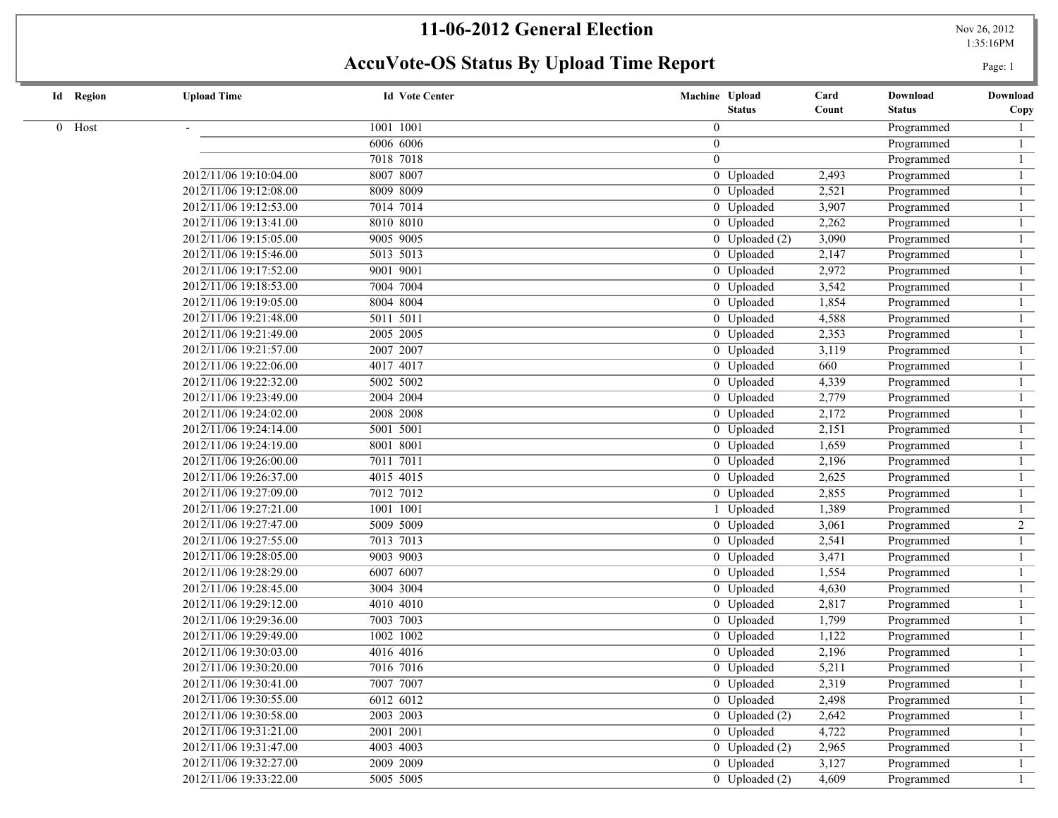1:35:16PM

| <b>Id</b> Region | <b>Upload Time</b>     | <b>Id Vote Center</b> | Machine Upload              | Card  | Download      | Download       |
|------------------|------------------------|-----------------------|-----------------------------|-------|---------------|----------------|
|                  |                        |                       | <b>Status</b>               | Count | <b>Status</b> | Copy           |
| 0 Host           |                        | 1001 1001             | $\overline{0}$              |       | Programmed    |                |
|                  |                        | 6006 6006             | $\overline{0}$              |       | Programmed    | $\mathbf{1}$   |
|                  |                        | 7018 7018             | $\theta$                    |       | Programmed    | $\mathbf{1}$   |
|                  | 2012/11/06 19:10:04.00 | 8007 8007             | 0 Uploaded                  | 2,493 | Programmed    | $\mathbf{1}$   |
|                  | 2012/11/06 19:12:08.00 | 8009 8009             | 0 Uploaded                  | 2,521 | Programmed    | $\mathbf{1}$   |
|                  | 2012/11/06 19:12:53.00 | 7014 7014             | 0 Uploaded                  | 3,907 | Programmed    | $\mathbf{1}$   |
|                  | 2012/11/06 19:13:41.00 | 8010 8010             | 0 Uploaded                  | 2,262 | Programmed    | $\mathbf{1}$   |
|                  | 2012/11/06 19:15:05.00 | 9005 9005             | $0$ Uploaded $(2)$          | 3,090 | Programmed    | 1              |
|                  | 2012/11/06 19:15:46.00 | 5013 5013             | 0 Uploaded                  | 2,147 | Programmed    |                |
|                  | 2012/11/06 19:17:52.00 | 9001 9001             | 0 Uploaded                  | 2,972 | Programmed    |                |
|                  | 2012/11/06 19:18:53.00 | 7004 7004             | 0 Uploaded                  | 3,542 | Programmed    |                |
|                  | 2012/11/06 19:19:05.00 | 8004 8004             | 0 Uploaded                  | 1,854 | Programmed    |                |
|                  | 2012/11/06 19:21:48.00 | 5011 5011             | 0 Uploaded                  | 4,588 | Programmed    |                |
|                  | 2012/11/06 19:21:49.00 | 2005 2005             | 0 Uploaded                  | 2,353 | Programmed    |                |
|                  | 2012/11/06 19:21:57.00 | 2007 2007             | 0 Uploaded                  | 3,119 | Programmed    |                |
|                  | 2012/11/06 19:22:06.00 | 4017 4017             | 0 Uploaded                  | 660   | Programmed    |                |
|                  | 2012/11/06 19:22:32.00 | 5002 5002             | 0 Uploaded                  | 4,339 | Programmed    |                |
|                  | 2012/11/06 19:23:49.00 | 2004 2004             | 0 Uploaded                  | 2,779 | Programmed    |                |
|                  | 2012/11/06 19:24:02.00 | 2008 2008             | 0 Uploaded                  | 2,172 | Programmed    | $\mathbf{1}$   |
|                  | 2012/11/06 19:24:14.00 | 5001 5001             | $\overline{0}$ Uploaded     | 2,151 | Programmed    | $\mathbf{1}$   |
|                  | 2012/11/06 19:24:19.00 | 8001 8001             | 0 Uploaded                  | 1,659 | Programmed    | $\mathbf{1}$   |
|                  | 2012/11/06 19:26:00.00 | 7011 7011             | 0 Uploaded                  | 2,196 | Programmed    |                |
|                  | 2012/11/06 19:26:37.00 | 4015 4015             | 0 Uploaded                  | 2,625 | Programmed    | $\mathbf{1}$   |
|                  | 2012/11/06 19:27:09.00 | 7012 7012             | 0 Uploaded                  | 2,855 | Programmed    | $\mathbf{1}$   |
|                  | 2012/11/06 19:27:21.00 | 1001 1001             | 1 Uploaded                  | 1,389 | Programmed    |                |
|                  | 2012/11/06 19:27:47.00 | 5009 5009             | 0 Uploaded                  | 3,061 | Programmed    | $\overline{2}$ |
|                  | 2012/11/06 19:27:55.00 | 7013 7013             | 0 Uploaded                  | 2,541 | Programmed    |                |
|                  | 2012/11/06 19:28:05.00 | 9003 9003             | 0 Uploaded                  | 3,471 | Programmed    |                |
|                  | 2012/11/06 19:28:29.00 | 6007 6007             | 0 Uploaded                  | 1,554 | Programmed    |                |
|                  | 2012/11/06 19:28:45.00 | 3004 3004             | 0 Uploaded                  | 4,630 | Programmed    |                |
|                  | 2012/11/06 19:29:12.00 | 4010 4010             | 0 Uploaded                  | 2,817 | Programmed    |                |
|                  | 2012/11/06 19:29:36.00 | 7003 7003             | 0 Uploaded                  | 1,799 | Programmed    |                |
|                  | 2012/11/06 19:29:49.00 | 1002 1002             | 0 Uploaded                  | 1,122 | Programmed    |                |
|                  | 2012/11/06 19:30:03.00 | 4016 4016             | 0 Uploaded                  | 2,196 | Programmed    |                |
|                  | 2012/11/06 19:30:20.00 | 7016 7016             | 0 Uploaded                  | 5,211 | Programmed    |                |
|                  | 2012/11/06 19:30:41.00 | 7007 7007             | 0 Uploaded                  | 2,319 | Programmed    |                |
|                  | 2012/11/06 19:30:55.00 | 6012 6012             | 0 Uploaded                  | 2,498 | Programmed    | -1             |
|                  | 2012/11/06 19:30:58.00 | 2003 2003             | $\overline{0}$ Uploaded (2) | 2,642 | Programmed    |                |
|                  | 2012/11/06 19:31:21.00 | 2001 2001             | 0 Uploaded                  | 4,722 | Programmed    |                |
|                  | 2012/11/06 19:31:47.00 | 4003 4003             | $0$ Uploaded $(2)$          | 2,965 | Programmed    |                |
|                  | 2012/11/06 19:32:27.00 | 2009 2009             | 0 Uploaded                  | 3,127 | Programmed    |                |
|                  | 2012/11/06 19:33:22.00 | 5005 5005             | $0$ Uploaded $(2)$          | 4,609 | Programmed    | $\mathbf{1}$   |
|                  |                        |                       |                             |       |               |                |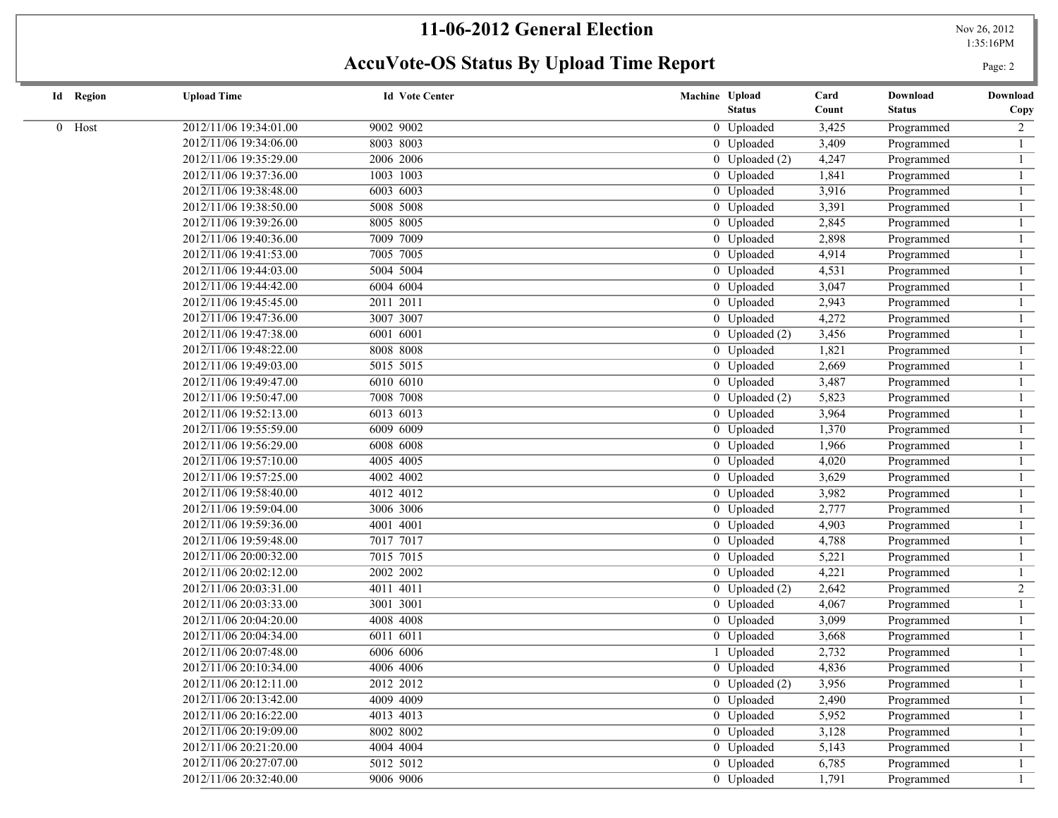## **11-06-2012 General Election**

Nov 26, 2012<br>1:35:16PM

| <b>Id</b> Region | <b>Upload Time</b>     | <b>Id Vote Center</b> | Machine Upload<br><b>Status</b> | Card<br>Count | Download<br><b>Status</b> | Download<br>Copy |
|------------------|------------------------|-----------------------|---------------------------------|---------------|---------------------------|------------------|
|                  |                        |                       |                                 |               |                           |                  |
| 0 Host           | 2012/11/06 19:34:01.00 | 9002 9002             | 0 Uploaded                      | 3,425         | Programmed                | $\overline{2}$   |
|                  | 2012/11/06 19:34:06.00 | 8003 8003             | 0 Uploaded                      | 3,409         | Programmed                | $\mathbf{1}$     |
|                  | 2012/11/06 19:35:29.00 | 2006 2006             | $0$ Uploaded $(2)$              | 4,247         | Programmed                |                  |
|                  | 2012/11/06 19:37:36.00 | 1003 1003             | 0 Uploaded                      | 1,841         | Programmed                |                  |
|                  | 2012/11/06 19:38:48.00 | 6003 6003             | 0 Uploaded                      | 3,916         | Programmed                |                  |
|                  | 2012/11/06 19:38:50.00 | 5008 5008             | 0 Uploaded                      | 3,391         | Programmed                |                  |
|                  | 2012/11/06 19:39:26.00 | 8005 8005             | 0 Uploaded                      | 2,845         | Programmed                |                  |
|                  | 2012/11/06 19:40:36.00 | 7009 7009             | 0 Uploaded                      | 2,898         | Programmed                |                  |
|                  | 2012/11/06 19:41:53.00 | 7005 7005             | 0 Uploaded                      | 4,914         | Programmed                |                  |
|                  | 2012/11/06 19:44:03.00 | 5004 5004             | 0 Uploaded                      | 4,531         | Programmed                |                  |
|                  | 2012/11/06 19:44:42.00 | 6004 6004             | 0 Uploaded                      | 3,047         | Programmed                |                  |
|                  | 2012/11/06 19:45:45.00 | 2011 2011             | 0 Uploaded                      | 2,943         | Programmed                |                  |
|                  | 2012/11/06 19:47:36.00 | 3007 3007             | 0 Uploaded                      | 4,272         | Programmed                |                  |
|                  | 2012/11/06 19:47:38.00 | 6001 6001             | $0$ Uploaded $(2)$              | 3,456         | Programmed                |                  |
|                  | 2012/11/06 19:48:22.00 | 8008 8008             | 0 Uploaded                      | 1,821         | Programmed                |                  |
|                  | 2012/11/06 19:49:03.00 | 5015 5015             | 0 Uploaded                      | 2,669         | Programmed                |                  |
|                  | 2012/11/06 19:49:47.00 | 6010 6010             | 0 Uploaded                      | 3,487         | Programmed                |                  |
|                  | 2012/11/06 19:50:47.00 | 7008 7008             | $0$ Uploaded $(2)$              | 5,823         | Programmed                |                  |
|                  | 2012/11/06 19:52:13.00 | 6013 6013             | 0 Uploaded                      | 3,964         | Programmed                |                  |
|                  | 2012/11/06 19:55:59.00 | 6009 6009             | 0 Uploaded                      | 1,370         | Programmed                |                  |
|                  | 2012/11/06 19:56:29.00 | 6008 6008             | 0 Uploaded                      | 1,966         | Programmed                |                  |
|                  | 2012/11/06 19:57:10.00 | 4005 4005             | 0 Uploaded                      | 4,020         | Programmed                |                  |
|                  | 2012/11/06 19:57:25.00 | 4002 4002             | 0 Uploaded                      | 3,629         | Programmed                |                  |
|                  | 2012/11/06 19:58:40.00 | 4012 4012             | 0 Uploaded                      | 3,982         | Programmed                |                  |
|                  | 2012/11/06 19:59:04.00 | 3006 3006             | 0 Uploaded                      | 2,777         | Programmed                |                  |
|                  | 2012/11/06 19:59:36.00 | 4001 4001             | 0 Uploaded                      | 4,903         | Programmed                |                  |
|                  | 2012/11/06 19:59:48.00 | 7017 7017             | 0 Uploaded                      | 4,788         | Programmed                |                  |
|                  | 2012/11/06 20:00:32.00 | 7015 7015             | 0 Uploaded                      | 5,221         | Programmed                |                  |
|                  | 2012/11/06 20:02:12.00 | 2002 2002             | 0 Uploaded                      | 4,221         | Programmed                |                  |
|                  | 2012/11/06 20:03:31.00 | 4011 4011             | $\overline{0}$ Uploaded (2)     | 2,642         | Programmed                | $\overline{2}$   |
|                  | 2012/11/06 20:03:33.00 | 3001 3001             | 0 Uploaded                      | 4,067         | Programmed                |                  |
|                  | 2012/11/06 20:04:20.00 | 4008 4008             | 0 Uploaded                      | 3,099         | Programmed                |                  |
|                  | 2012/11/06 20:04:34.00 | 6011 6011             | 0 Uploaded                      | 3,668         | Programmed                |                  |
|                  | 2012/11/06 20:07:48.00 | 6006 6006             | 1 Uploaded                      | 2,732         | Programmed                |                  |
|                  | 2012/11/06 20:10:34.00 | 4006 4006             | 0 Uploaded                      | 4,836         | Programmed                |                  |
|                  | 2012/11/06 20:12:11.00 | 2012 2012             | 0 Uploaded (2)                  | 3,956         | Programmed                |                  |
|                  | 2012/11/06 20:13:42.00 | 4009 4009             | 0 Uploaded                      | 2,490         | Programmed                |                  |
|                  | 2012/11/06 20:16:22.00 | 4013 4013             | 0 Uploaded                      | 5,952         | Programmed                |                  |
|                  | 2012/11/06 20:19:09.00 | 8002 8002             | 0 Uploaded                      | 3,128         | Programmed                |                  |
|                  | 2012/11/06 20:21:20.00 | 4004 4004             | 0 Uploaded                      | 5,143         | Programmed                |                  |
|                  | 2012/11/06 20:27:07.00 | 5012 5012             | 0 Uploaded                      | 6,785         | Programmed                |                  |
|                  | 2012/11/06 20:32:40.00 | 9006 9006             | 0 Uploaded                      | 1,791         | Programmed                |                  |
|                  |                        |                       |                                 |               |                           |                  |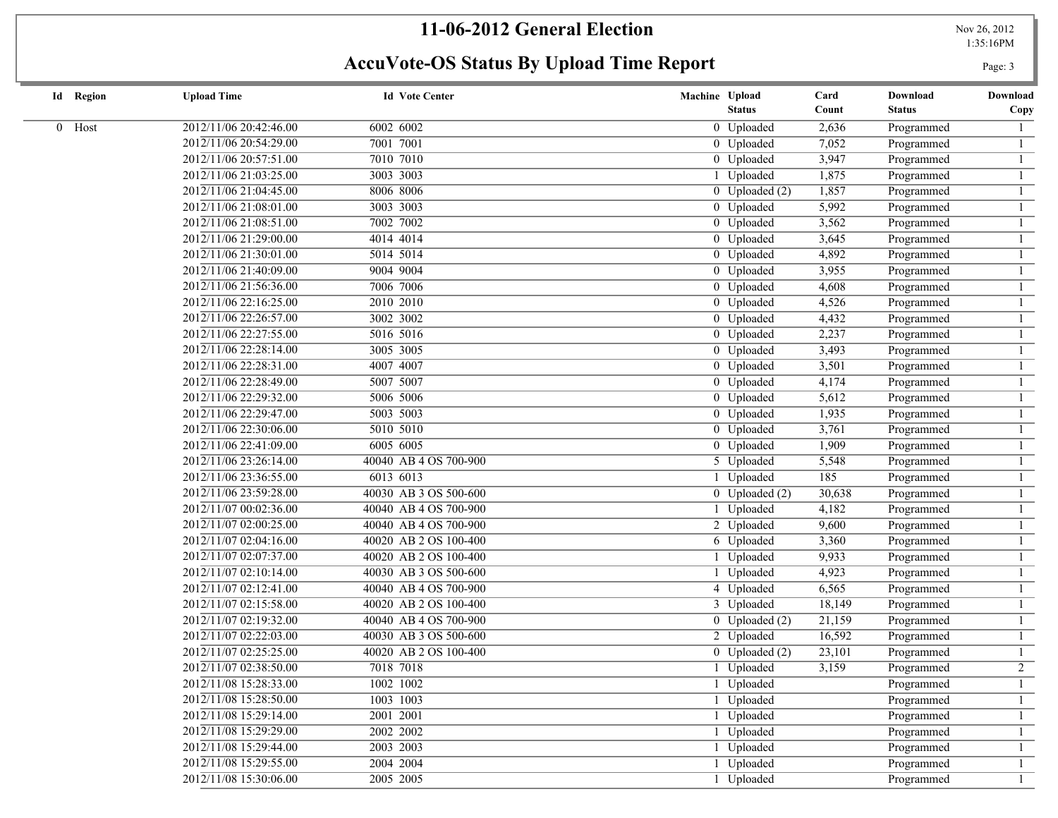1:35:16PM

| <b>Id</b> Region | <b>Upload Time</b>     | <b>Id Vote Center</b> | Machine Upload                         | Card   | Download      | Download       |
|------------------|------------------------|-----------------------|----------------------------------------|--------|---------------|----------------|
|                  |                        |                       | <b>Status</b>                          | Count  | <b>Status</b> | Copy           |
| 0 Host           | 2012/11/06 20:42:46.00 | 6002 6002             | 0 Uploaded                             | 2,636  | Programmed    |                |
|                  | 2012/11/06 20:54:29.00 | 7001 7001             | 0 Uploaded                             | 7,052  | Programmed    |                |
|                  | 2012/11/06 20:57:51.00 | 7010 7010             | 0 Uploaded                             | 3,947  | Programmed    |                |
|                  | 2012/11/06 21:03:25.00 | 3003 3003             | 1 Uploaded                             | 1,875  | Programmed    |                |
|                  | 2012/11/06 21:04:45.00 | 8006 8006             | $\overline{0}$ Uploaded $\overline{2}$ | 1,857  | Programmed    |                |
|                  | 2012/11/06 21:08:01.00 | 3003 3003             | 0 Uploaded                             | 5,992  | Programmed    |                |
|                  | 2012/11/06 21:08:51.00 | 7002 7002             | 0 Uploaded                             | 3,562  | Programmed    |                |
|                  | 2012/11/06 21:29:00.00 | 4014 4014             | 0 Uploaded                             | 3,645  | Programmed    |                |
|                  | 2012/11/06 21:30:01.00 | 5014 5014             | 0 Uploaded                             | 4,892  | Programmed    |                |
|                  | 2012/11/06 21:40:09.00 | 9004 9004             | 0 Uploaded                             | 3,955  | Programmed    |                |
|                  | 2012/11/06 21:56:36.00 | 7006 7006             | 0 Uploaded                             | 4,608  | Programmed    |                |
|                  | 2012/11/06 22:16:25.00 | 2010 2010             | 0 Uploaded                             | 4,526  | Programmed    |                |
|                  | 2012/11/06 22:26:57.00 | 3002 3002             | 0 Uploaded                             | 4,432  | Programmed    |                |
|                  | 2012/11/06 22:27:55.00 | 5016 5016             | 0 Uploaded                             | 2,237  | Programmed    |                |
|                  | 2012/11/06 22:28:14.00 | 3005 3005             | 0 Uploaded                             | 3,493  | Programmed    |                |
|                  | 2012/11/06 22:28:31.00 | 4007 4007             | 0 Uploaded                             | 3,501  | Programmed    |                |
|                  | 2012/11/06 22:28:49.00 | 5007 5007             | 0 Uploaded                             | 4,174  | Programmed    |                |
|                  | 2012/11/06 22:29:32.00 | 5006 5006             | 0 Uploaded                             | 5,612  | Programmed    |                |
|                  | 2012/11/06 22:29:47.00 | 5003 5003             | 0 Uploaded                             | 1,935  | Programmed    |                |
|                  | 2012/11/06 22:30:06.00 | 5010 5010             | 0 Uploaded                             | 3,761  | Programmed    |                |
|                  | 2012/11/06 22:41:09.00 | 6005 6005             | 0 Uploaded                             | 1,909  | Programmed    |                |
|                  | 2012/11/06 23:26:14.00 | 40040 AB 4 OS 700-900 | 5 Uploaded                             | 5,548  | Programmed    |                |
|                  | 2012/11/06 23:36:55.00 | 6013 6013             | 1 Uploaded                             | 185    | Programmed    |                |
|                  | 2012/11/06 23:59:28.00 | 40030 AB 3 OS 500-600 | $0$ Uploaded $(2)$                     | 30,638 | Programmed    |                |
|                  | 2012/11/07 00:02:36.00 | 40040 AB 4 OS 700-900 | Uploaded                               | 4,182  | Programmed    |                |
|                  | 2012/11/07 02:00:25.00 | 40040 AB 4 OS 700-900 | 2 Uploaded                             | 9,600  | Programmed    |                |
|                  | 2012/11/07 02:04:16.00 | 40020 AB 2 OS 100-400 | 6 Uploaded                             | 3,360  | Programmed    |                |
|                  | 2012/11/07 02:07:37.00 | 40020 AB 2 OS 100-400 | Uploaded                               | 9,933  | Programmed    |                |
|                  | 2012/11/07 02:10:14.00 | 40030 AB 3 OS 500-600 | Uploaded                               | 4,923  | Programmed    |                |
|                  | 2012/11/07 02:12:41.00 | 40040 AB 4 OS 700-900 | 4 Uploaded                             | 6,565  | Programmed    |                |
|                  | 2012/11/07 02:15:58.00 | 40020 AB 2 OS 100-400 | 3 Uploaded                             | 18,149 | Programmed    |                |
|                  | 2012/11/07 02:19:32.00 | 40040 AB 4 OS 700-900 | 0 Uploaded $(2)$                       | 21,159 | Programmed    |                |
|                  | 2012/11/07 02:22:03.00 | 40030 AB 3 OS 500-600 | 2 Uploaded                             | 16,592 | Programmed    |                |
|                  | 2012/11/07 02:25:25.00 | 40020 AB 2 OS 100-400 | $0$ Uploaded $(2)$                     | 23,101 | Programmed    |                |
|                  | 2012/11/07 02:38:50.00 | 7018 7018             | 1 Uploaded                             | 3,159  | Programmed    | $\overline{2}$ |
|                  | 2012/11/08 15:28:33.00 | 1002 1002             | 1 Uploaded                             |        | Programmed    |                |
|                  | 2012/11/08 15:28:50.00 | 1003 1003             | 1 Uploaded                             |        | Programmed    |                |
|                  | 2012/11/08 15:29:14.00 | 2001 2001             | 1 Uploaded                             |        | Programmed    |                |
|                  | 2012/11/08 15:29:29.00 | 2002 2002             | 1 Uploaded                             |        | Programmed    |                |
|                  | 2012/11/08 15:29:44.00 | 2003 2003             | 1 Uploaded                             |        | Programmed    |                |
|                  | 2012/11/08 15:29:55.00 | 2004 2004             | 1 Uploaded                             |        | Programmed    |                |
|                  | 2012/11/08 15:30:06.00 | 2005 2005             | 1 Uploaded                             |        | Programmed    |                |
|                  |                        |                       |                                        |        |               |                |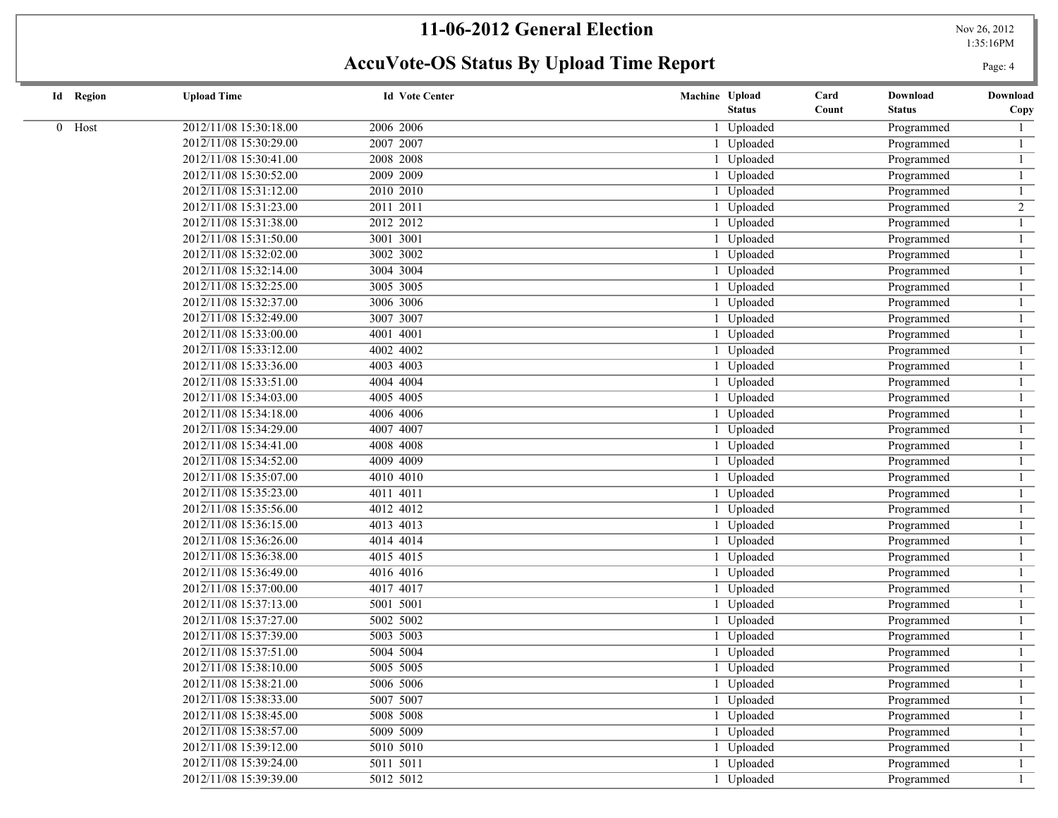1:35:16PM

| <b>Id</b> Region | <b>Upload Time</b>     | <b>Id Vote Center</b> | Machine Upload | Card  | Download      | Download       |
|------------------|------------------------|-----------------------|----------------|-------|---------------|----------------|
|                  |                        |                       | <b>Status</b>  | Count | <b>Status</b> | Copy           |
| 0 Host           | 2012/11/08 15:30:18.00 | 2006 2006             | 1 Uploaded     |       | Programmed    |                |
|                  | 2012/11/08 15:30:29.00 | 2007 2007             | Uploaded       |       | Programmed    |                |
|                  | 2012/11/08 15:30:41.00 | 2008 2008             | 1 Uploaded     |       | Programmed    |                |
|                  | 2012/11/08 15:30:52.00 | 2009 2009             | 1 Uploaded     |       | Programmed    |                |
|                  | 2012/11/08 15:31:12.00 | 2010 2010             | 1 Uploaded     |       | Programmed    |                |
|                  | 2012/11/08 15:31:23.00 | 2011 2011             | 1 Uploaded     |       | Programmed    | $\overline{2}$ |
|                  | 2012/11/08 15:31:38.00 | 2012 2012             | 1 Uploaded     |       | Programmed    |                |
|                  | 2012/11/08 15:31:50.00 | 3001 3001             | 1 Uploaded     |       | Programmed    |                |
|                  | 2012/11/08 15:32:02.00 | 3002 3002             | 1 Uploaded     |       | Programmed    |                |
|                  | 2012/11/08 15:32:14.00 | 3004 3004             | 1 Uploaded     |       | Programmed    |                |
|                  | 2012/11/08 15:32:25.00 | 3005 3005             | 1 Uploaded     |       | Programmed    |                |
|                  | 2012/11/08 15:32:37.00 | 3006 3006             | 1 Uploaded     |       | Programmed    |                |
|                  | 2012/11/08 15:32:49.00 | 3007 3007             | 1 Uploaded     |       | Programmed    |                |
|                  | 2012/11/08 15:33:00.00 | 4001 4001             | 1 Uploaded     |       | Programmed    |                |
|                  | 2012/11/08 15:33:12.00 | 4002 4002             | 1 Uploaded     |       | Programmed    |                |
|                  | 2012/11/08 15:33:36.00 | 4003 4003             | 1 Uploaded     |       | Programmed    |                |
|                  | 2012/11/08 15:33:51.00 | 4004 4004             | 1 Uploaded     |       | Programmed    |                |
|                  | 2012/11/08 15:34:03.00 | 4005 4005             | 1 Uploaded     |       | Programmed    |                |
|                  | 2012/11/08 15:34:18.00 | 4006 4006             | 1 Uploaded     |       | Programmed    |                |
|                  | 2012/11/08 15:34:29.00 | 4007 4007             | 1 Uploaded     |       | Programmed    |                |
|                  | 2012/11/08 15:34:41.00 | 4008 4008             | 1 Uploaded     |       | Programmed    |                |
|                  | 2012/11/08 15:34:52.00 | 4009 4009             | 1 Uploaded     |       | Programmed    |                |
|                  | 2012/11/08 15:35:07.00 | 4010 4010             | 1 Uploaded     |       | Programmed    |                |
|                  | 2012/11/08 15:35:23.00 | 4011 4011             | 1 Uploaded     |       | Programmed    |                |
|                  | 2012/11/08 15:35:56.00 | 4012 4012             | Uploaded       |       | Programmed    |                |
|                  | 2012/11/08 15:36:15.00 | 4013 4013             | 1 Uploaded     |       | Programmed    |                |
|                  | 2012/11/08 15:36:26.00 | 4014 4014             | 1 Uploaded     |       | Programmed    |                |
|                  | 2012/11/08 15:36:38.00 | 4015 4015             | 1 Uploaded     |       | Programmed    |                |
|                  | 2012/11/08 15:36:49.00 | 4016 4016             | 1 Uploaded     |       | Programmed    |                |
|                  | 2012/11/08 15:37:00.00 | 4017 4017             | 1 Uploaded     |       | Programmed    |                |
|                  | 2012/11/08 15:37:13.00 | 5001 5001             | Uploaded       |       | Programmed    |                |
|                  | 2012/11/08 15:37:27.00 | 5002 5002             | 1 Uploaded     |       | Programmed    |                |
|                  | 2012/11/08 15:37:39.00 | 5003 5003             | 1 Uploaded     |       | Programmed    |                |
|                  | 2012/11/08 15:37:51.00 | 5004 5004             | 1 Uploaded     |       | Programmed    |                |
|                  | 2012/11/08 15:38:10.00 | 5005 5005             | 1 Uploaded     |       | Programmed    |                |
|                  | 2012/11/08 15:38:21.00 | 5006 5006             | 1 Uploaded     |       | Programmed    |                |
|                  | 2012/11/08 15:38:33.00 | 5007 5007             | 1 Uploaded     |       | Programmed    |                |
|                  | 2012/11/08 15:38:45.00 | 5008 5008             | 1 Uploaded     |       | Programmed    |                |
|                  | 2012/11/08 15:38:57.00 | 5009 5009             | 1 Uploaded     |       | Programmed    |                |
|                  | 2012/11/08 15:39:12.00 | 5010 5010             | 1 Uploaded     |       | Programmed    |                |
|                  | 2012/11/08 15:39:24.00 | 5011 5011             | 1 Uploaded     |       | Programmed    |                |
|                  | 2012/11/08 15:39:39.00 | 5012 5012             | 1 Uploaded     |       | Programmed    |                |
|                  |                        |                       |                |       |               |                |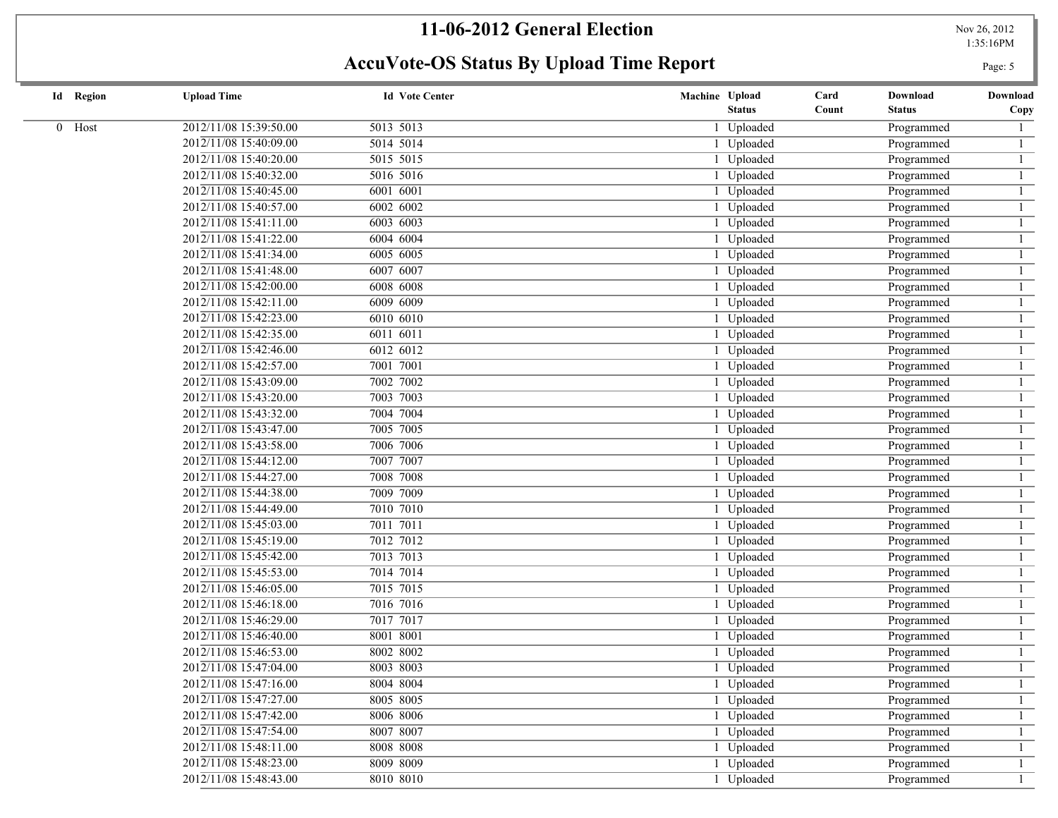## **11-06-2012 General Election**

Nov 26, 2012<br>1:35:16PM

| <b>Id</b> Region | <b>Upload Time</b>     | <b>Id Vote Center</b> | Machine Upload | Card<br>Download       | Download |
|------------------|------------------------|-----------------------|----------------|------------------------|----------|
|                  |                        |                       | <b>Status</b>  | Count<br><b>Status</b> | Copy     |
| $0$ Host         | 2012/11/08 15:39:50.00 | 5013 5013             | 1 Uploaded     | Programmed             |          |
|                  | 2012/11/08 15:40:09.00 | 5014 5014             | 1 Uploaded     | Programmed             |          |
|                  | 2012/11/08 15:40:20.00 | 5015 5015             | 1 Uploaded     | Programmed             |          |
|                  | 2012/11/08 15:40:32.00 | 5016 5016             | 1 Uploaded     | Programmed             |          |
|                  | 2012/11/08 15:40:45.00 | 6001 6001             | 1 Uploaded     | Programmed             |          |
|                  | 2012/11/08 15:40:57.00 | 6002 6002             | 1 Uploaded     | Programmed             |          |
|                  | 2012/11/08 15:41:11.00 | 6003 6003             | 1 Uploaded     | Programmed             |          |
|                  | 2012/11/08 15:41:22.00 | 6004 6004             | 1 Uploaded     | Programmed             |          |
|                  | 2012/11/08 15:41:34.00 | 6005 6005             | 1 Uploaded     | Programmed             |          |
|                  | 2012/11/08 15:41:48.00 | 6007 6007             | 1 Uploaded     | Programmed             |          |
|                  | 2012/11/08 15:42:00.00 | 6008 6008             | 1 Uploaded     | Programmed             |          |
|                  | 2012/11/08 15:42:11.00 | 6009 6009             | 1 Uploaded     | Programmed             |          |
|                  | 2012/11/08 15:42:23.00 | 6010 6010             | 1 Uploaded     | Programmed             |          |
|                  | 2012/11/08 15:42:35.00 | 6011 6011             | 1 Uploaded     | Programmed             |          |
|                  | 2012/11/08 15:42:46.00 | 6012 6012             | 1 Uploaded     | Programmed             |          |
|                  | 2012/11/08 15:42:57.00 | 7001 7001             | 1 Uploaded     | Programmed             |          |
|                  | 2012/11/08 15:43:09.00 | 7002 7002             | 1 Uploaded     | Programmed             |          |
|                  | 2012/11/08 15:43:20.00 | 7003 7003             | 1 Uploaded     | Programmed             |          |
|                  | 2012/11/08 15:43:32.00 | 7004 7004             | 1 Uploaded     | Programmed             |          |
|                  | 2012/11/08 15:43:47.00 | 7005 7005             | 1 Uploaded     | Programmed             |          |
|                  | 2012/11/08 15:43:58.00 | 7006 7006             | 1 Uploaded     | Programmed             |          |
|                  | 2012/11/08 15:44:12.00 | 7007 7007             | 1 Uploaded     | Programmed             |          |
|                  | 2012/11/08 15:44:27.00 | 7008 7008             | 1 Uploaded     | Programmed             |          |
|                  | 2012/11/08 15:44:38.00 | 7009 7009             | 1 Uploaded     | Programmed             |          |
|                  | 2012/11/08 15:44:49.00 | 7010 7010             | 1 Uploaded     | Programmed             |          |
|                  | 2012/11/08 15:45:03.00 | 7011 7011             | 1 Uploaded     | Programmed             |          |
|                  | 2012/11/08 15:45:19.00 | 7012 7012             | 1 Uploaded     | Programmed             |          |
|                  | 2012/11/08 15:45:42.00 | 7013 7013             | 1 Uploaded     | Programmed             |          |
|                  | 2012/11/08 15:45:53.00 | 7014 7014             | 1 Uploaded     | Programmed             |          |
|                  | 2012/11/08 15:46:05.00 | 7015 7015             | 1 Uploaded     | Programmed             |          |
|                  | 2012/11/08 15:46:18.00 | 7016 7016             | 1 Uploaded     | Programmed             |          |
|                  | 2012/11/08 15:46:29.00 | 7017 7017             | 1 Uploaded     | Programmed             |          |
|                  | 2012/11/08 15:46:40.00 | 8001 8001             | 1 Uploaded     | Programmed             |          |
|                  | 2012/11/08 15:46:53.00 | 8002 8002             | 1 Uploaded     | Programmed             |          |
|                  | 2012/11/08 15:47:04.00 | 8003 8003             | 1 Uploaded     | Programmed             |          |
|                  | 2012/11/08 15:47:16.00 | 8004 8004             | 1 Uploaded     | Programmed             |          |
|                  | 2012/11/08 15:47:27.00 | 8005 8005             | 1 Uploaded     | Programmed             |          |
|                  | 2012/11/08 15:47:42.00 | 8006 8006             | 1 Uploaded     | Programmed             |          |
|                  | 2012/11/08 15:47:54.00 | 8007 8007             | 1 Uploaded     | Programmed             |          |
|                  | 2012/11/08 15:48:11.00 | 8008 8008             | 1 Uploaded     | Programmed             |          |
|                  | 2012/11/08 15:48:23.00 | 8009 8009             | 1 Uploaded     | Programmed             |          |
|                  | 2012/11/08 15:48:43.00 | 8010 8010             | 1 Uploaded     | Programmed             |          |
|                  |                        |                       |                |                        |          |